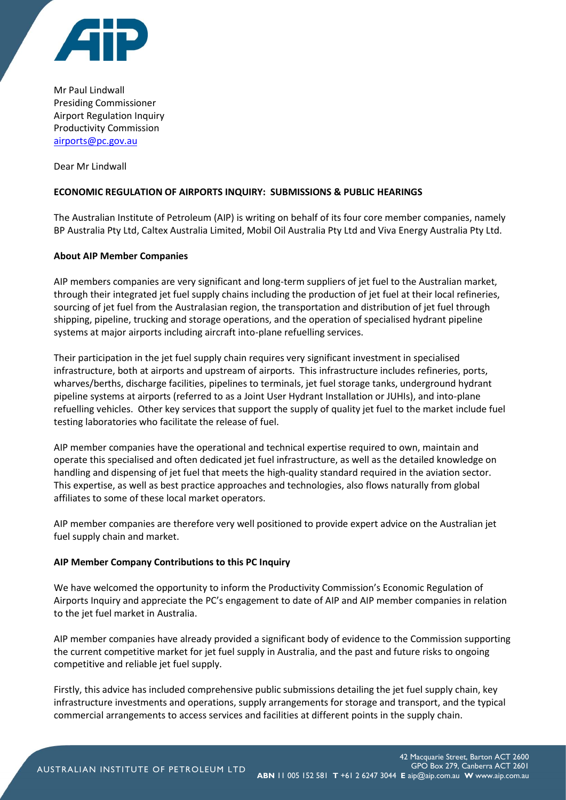

Mr Paul Lindwall Presiding Commissioner Airport Regulation Inquiry Productivity Commission [airports@pc.gov.au](mailto:airports@pc.gov.au)

Dear Mr Lindwall

## **ECONOMIC REGULATION OF AIRPORTS INQUIRY: SUBMISSIONS & PUBLIC HEARINGS**

The Australian Institute of Petroleum (AIP) is writing on behalf of its four core member companies, namely BP Australia Pty Ltd, Caltex Australia Limited, Mobil Oil Australia Pty Ltd and Viva Energy Australia Pty Ltd.

## **About AIP Member Companies**

AIP members companies are very significant and long-term suppliers of jet fuel to the Australian market, through their integrated jet fuel supply chains including the production of jet fuel at their local refineries, sourcing of jet fuel from the Australasian region, the transportation and distribution of jet fuel through shipping, pipeline, trucking and storage operations, and the operation of specialised hydrant pipeline systems at major airports including aircraft into-plane refuelling services.

Their participation in the jet fuel supply chain requires very significant investment in specialised infrastructure, both at airports and upstream of airports. This infrastructure includes refineries, ports, wharves/berths, discharge facilities, pipelines to terminals, jet fuel storage tanks, underground hydrant pipeline systems at airports (referred to as a Joint User Hydrant Installation or JUHIs), and into-plane refuelling vehicles. Other key services that support the supply of quality jet fuel to the market include fuel testing laboratories who facilitate the release of fuel.

AIP member companies have the operational and technical expertise required to own, maintain and operate this specialised and often dedicated jet fuel infrastructure, as well as the detailed knowledge on handling and dispensing of jet fuel that meets the high-quality standard required in the aviation sector. This expertise, as well as best practice approaches and technologies, also flows naturally from global affiliates to some of these local market operators.

AIP member companies are therefore very well positioned to provide expert advice on the Australian jet fuel supply chain and market.

## **AIP Member Company Contributions to this PC Inquiry**

We have welcomed the opportunity to inform the Productivity Commission's Economic Regulation of Airports Inquiry and appreciate the PC's engagement to date of AIP and AIP member companies in relation to the jet fuel market in Australia.

AIP member companies have already provided a significant body of evidence to the Commission supporting the current competitive market for jet fuel supply in Australia, and the past and future risks to ongoing competitive and reliable jet fuel supply.

Firstly, this advice has included comprehensive public submissions detailing the jet fuel supply chain, key infrastructure investments and operations, supply arrangements for storage and transport, and the typical commercial arrangements to access services and facilities at different points in the supply chain.